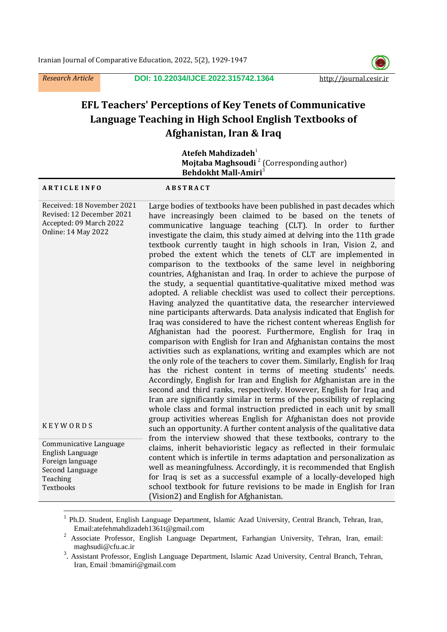*Research Article* **DOI: [10.22034/IJCE.2022.315742.1364](https://dx.doi.org/10.22034/ijce.2022.315742.1364)** http://journal.cesir.ir



# **EFL Teachers' Perceptions of Key Tenets of Communicative Language Teaching in High School English Textbooks of Afghanistan, Iran & Iraq**

 $A$ **tefeh Mahdizadeh**<sup>1</sup> **Mojtaba Maghsoudi<sup>2</sup> (Corresponding author) Behdokht Mall-Amiri**<sup>3</sup>

#### **A R T I C L E I N F O A B S T R A C T**

 $\ddot{\phantom{a}}$ 

| Received: 18 November 2021 | Large bodies of textbooks have been published in past decades which      |
|----------------------------|--------------------------------------------------------------------------|
| Revised: 12 December 2021  | have increasingly been claimed to be based on the tenets of              |
| Accepted: 09 March 2022    | communicative language teaching (CLT). In order to further               |
| <b>Online: 14 May 2022</b> | investigate the claim, this study aimed at delving into the 11th grade   |
|                            | textbook currently taught in high schools in Iran, Vision 2, and         |
|                            | probed the extent which the tenets of CLT are implemented in             |
|                            | comparison to the textbooks of the same level in neighboring             |
|                            | countries, Afghanistan and Iraq. In order to achieve the purpose of      |
|                            | the study, a sequential quantitative-qualitative mixed method was        |
|                            | adopted. A reliable checklist was used to collect their perceptions.     |
|                            | Having analyzed the quantitative data, the researcher interviewed        |
|                            | nine participants afterwards. Data analysis indicated that English for   |
|                            | Iraq was considered to have the richest content whereas English for      |
|                            | Afghanistan had the poorest. Furthermore, English for Iraq in            |
|                            | comparison with English for Iran and Afghanistan contains the most       |
|                            | activities such as explanations, writing and examples which are not      |
|                            | the only role of the teachers to cover them. Similarly, English for Iraq |
|                            | has the richest content in terms of meeting students' needs.             |
|                            | Accordingly, English for Iran and English for Afghanistan are in the     |
|                            | second and third ranks, respectively. However, English for Iraq and      |
|                            | Iran are significantly similar in terms of the possibility of replacing  |
|                            | whole class and formal instruction predicted in each unit by small       |
|                            | group activities whereas English for Afghanistan does not provide        |
| <b>KEYWORDS</b>            | such an opportunity. A further content analysis of the qualitative data  |
| Communicative Language     | from the interview showed that these textbooks, contrary to the          |
| English Language           | claims, inherit behavioristic legacy as reflected in their formulaic     |
| Foreign language           | content which is infertile in terms adaptation and personalization as    |
| Second Language            | well as meaningfulness. Accordingly, it is recommended that English      |
| Teaching                   | for Iraq is set as a successful example of a locally-developed high      |
| Textbooks                  | school textbook for future revisions to be made in English for Iran      |
|                            | (Vision2) and English for Afghanistan.                                   |

<sup>&</sup>lt;sup>1</sup> Ph.D. Student, English Language Department, Islamic Azad University, Central Branch, Tehran, Iran, Email[:atefehmahdizadeh1361t@gmail.com](mailto:atefehmahdizadeh1361t@gmail.com)

<sup>&</sup>lt;sup>2</sup> Associate Professor, English Language Department, Farhangian University, Tehran, Iran, email: maghsudi@cfu.ac.ir

<sup>&</sup>lt;sup>3</sup>. Assistant Professor, English Language Department, Islamic Azad University, Central Branch, Tehran, Iran, Email [:bmamiri@gmail.com](mailto:bmamiri@gmail.com)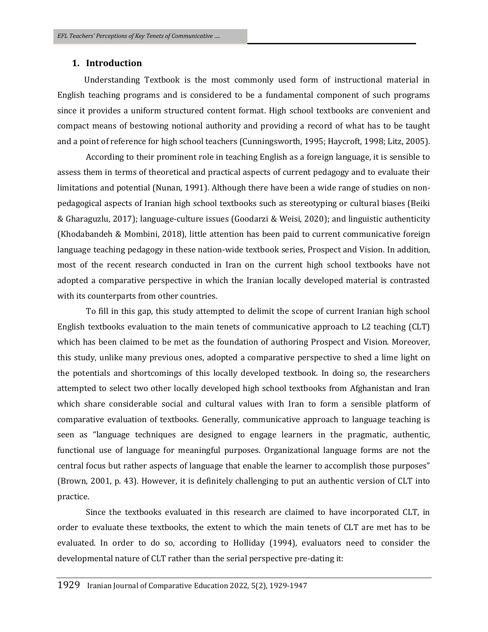## **1. Introduction**

 Understanding Textbook is the most commonly used form of instructional material in English teaching programs and is considered to be a fundamental component of such programs since it provides a uniform structured content format. High school textbooks are convenient and compact means of bestowing notional authority and providing a record of what has to be taught and a point of reference for high school teachers (Cunningsworth, 1995; Haycroft, 1998; Litz, 2005).

According to their prominent role in teaching English as a foreign language, it is sensible to assess them in terms of theoretical and practical aspects of current pedagogy and to evaluate their limitations and potential (Nunan, 1991). Although there have been a wide range of studies on nonpedagogical aspects of Iranian high school textbooks such as stereotyping or cultural biases (Beiki & Gharaguzlu, 2017); language-culture issues (Goodarzi & Weisi, 2020); and linguistic authenticity (Khodabandeh & Mombini, 2018), little attention has been paid to current communicative foreign language teaching pedagogy in these nation-wide textbook series, Prospect and Vision. In addition, most of the recent research conducted in Iran on the current high school textbooks have not adopted a comparative perspective in which the Iranian locally developed material is contrasted with its counterparts from other countries.

To fill in this gap, this study attempted to delimit the scope of current Iranian high school English textbooks evaluation to the main tenets of communicative approach to L2 teaching (CLT) which has been claimed to be met as the foundation of authoring Prospect and Vision. Moreover, this study, unlike many previous ones, adopted a comparative perspective to shed a lime light on the potentials and shortcomings of this locally developed textbook. In doing so, the researchers attempted to select two other locally developed high school textbooks from Afghanistan and Iran which share considerable social and cultural values with Iran to form a sensible platform of comparative evaluation of textbooks. Generally, communicative approach to language teaching is seen as "language techniques are designed to engage learners in the pragmatic, authentic, functional use of language for meaningful purposes. Organizational language forms are not the central focus but rather aspects of language that enable the learner to accomplish those purposes" (Brown, 2001, p. 43). However, it is definitely challenging to put an authentic version of CLT into practice.

Since the textbooks evaluated in this research are claimed to have incorporated CLT, in order to evaluate these textbooks, the extent to which the main tenets of CLT are met has to be evaluated. In order to do so, according to Holliday (1994), evaluators need to consider the developmental nature of CLT rather than the serial perspective pre-dating it: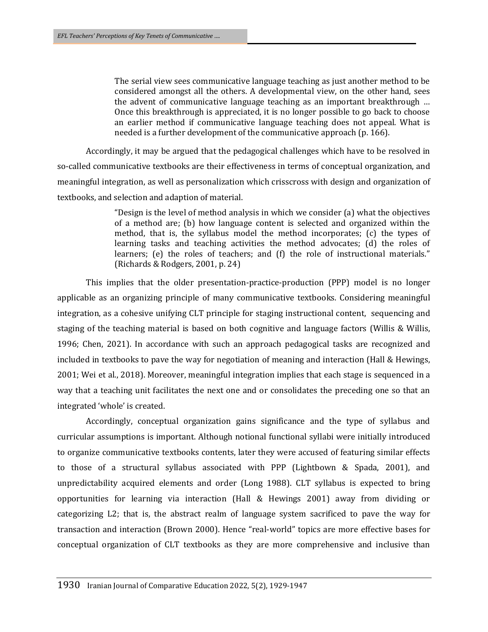The serial view sees communicative language teaching as just another method to be considered amongst all the others. A developmental view, on the other hand, sees the advent of communicative language teaching as an important breakthrough … Once this breakthrough is appreciated, it is no longer possible to go back to choose an earlier method if communicative language teaching does not appeal. What is needed is a further development of the communicative approach (p. 166).

Accordingly, it may be argued that the pedagogical challenges which have to be resolved in so-called communicative textbooks are their effectiveness in terms of conceptual organization, and meaningful integration, as well as personalization which crisscross with design and organization of textbooks, and selection and adaption of material.

> "Design is the level of method analysis in which we consider (a) what the objectives of a method are; (b) how language content is selected and organized within the method, that is, the syllabus model the method incorporates; (c) the types of learning tasks and teaching activities the method advocates; (d) the roles of learners; (e) the roles of teachers; and (f) the role of instructional materials." (Richards & Rodgers, 2001, p. 24)

This implies that the older presentation-practice-production (PPP) model is no longer applicable as an organizing principle of many communicative textbooks. Considering meaningful integration, as a cohesive unifying CLT principle for staging instructional content, sequencing and staging of the teaching material is based on both cognitive and language factors (Willis & Willis, 1996; Chen, 2021). In accordance with such an approach pedagogical tasks are recognized and included in textbooks to pave the way for negotiation of meaning and interaction (Hall & Hewings, 2001; Wei et al., 2018). Moreover, meaningful integration implies that each stage is sequenced in a way that a teaching unit facilitates the next one and or consolidates the preceding one so that an integrated 'whole' is created.

Accordingly, conceptual organization gains significance and the type of syllabus and curricular assumptions is important. Although notional functional syllabi were initially introduced to organize communicative textbooks contents, later they were accused of featuring similar effects to those of a structural syllabus associated with PPP (Lightbown & Spada, 2001), and unpredictability acquired elements and order (Long 1988). CLT syllabus is expected to bring opportunities for learning via interaction (Hall & Hewings 2001) away from dividing or categorizing L2; that is, the abstract realm of language system sacrificed to pave the way for transaction and interaction (Brown 2000). Hence "real-world" topics are more effective bases for conceptual organization of CLT textbooks as they are more comprehensive and inclusive than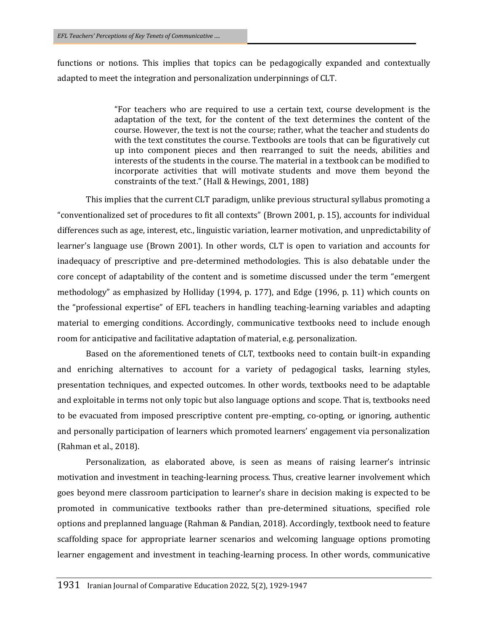functions or notions. This implies that topics can be pedagogically expanded and contextually adapted to meet the integration and personalization underpinnings of CLT.

> "For teachers who are required to use a certain text, course development is the adaptation of the text, for the content of the text determines the content of the course. However, the text is not the course; rather, what the teacher and students do with the text constitutes the course. Textbooks are tools that can be figuratively cut up into component pieces and then rearranged to suit the needs, abilities and interests of the students in the course. The material in a textbook can be modified to incorporate activities that will motivate students and move them beyond the constraints of the text." (Hall & Hewings, 2001, 188)

This implies that the current CLT paradigm, unlike previous structural syllabus promoting a "conventionalized set of procedures to fit all contexts" (Brown 2001, p. 15), accounts for individual differences such as age, interest, etc., linguistic variation, learner motivation, and unpredictability of learner's language use (Brown 2001). In other words, CLT is open to variation and accounts for inadequacy of prescriptive and pre-determined methodologies. This is also debatable under the core concept of adaptability of the content and is sometime discussed under the term "emergent methodology" as emphasized by Holliday (1994, p. 177), and Edge (1996, p. 11) which counts on the "professional expertise" of EFL teachers in handling teaching-learning variables and adapting material to emerging conditions. Accordingly, communicative textbooks need to include enough room for anticipative and facilitative adaptation of material, e.g. personalization.

Based on the aforementioned tenets of CLT, textbooks need to contain built-in expanding and enriching alternatives to account for a variety of pedagogical tasks, learning styles, presentation techniques, and expected outcomes. In other words, textbooks need to be adaptable and exploitable in terms not only topic but also language options and scope. That is, textbooks need to be evacuated from imposed prescriptive content pre-empting, co-opting, or ignoring, authentic and personally participation of learners which promoted learners' engagement via personalization (Rahman et al., 2018).

Personalization, as elaborated above, is seen as means of raising learner's intrinsic motivation and investment in teaching-learning process. Thus, creative learner involvement which goes beyond mere classroom participation to learner's share in decision making is expected to be promoted in communicative textbooks rather than pre-determined situations, specified role options and preplanned language (Rahman & Pandian, 2018). Accordingly, textbook need to feature scaffolding space for appropriate learner scenarios and welcoming language options promoting learner engagement and investment in teaching-learning process. In other words, communicative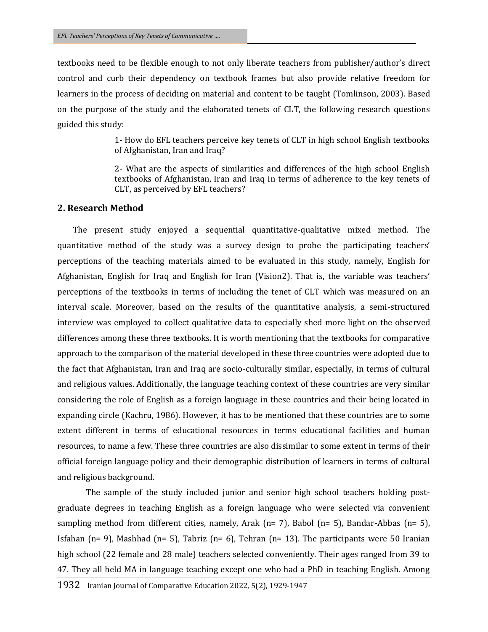textbooks need to be flexible enough to not only liberate teachers from publisher/author's direct control and curb their dependency on textbook frames but also provide relative freedom for learners in the process of deciding on material and content to be taught (Tomlinson, 2003). Based on the purpose of the study and the elaborated tenets of CLT, the following research questions guided this study:

> 1- How do EFL teachers perceive key tenets of CLT in high school English textbooks of Afghanistan, Iran and Iraq?

> 2- What are the aspects of similarities and differences of the high school English textbooks of Afghanistan, Iran and Iraq in terms of adherence to the key tenets of CLT, as perceived by EFL teachers?

## **2. Research Method**

 The present study enjoyed a sequential quantitative-qualitative mixed method. The quantitative method of the study was a survey design to probe the participating teachers' perceptions of the teaching materials aimed to be evaluated in this study, namely, English for Afghanistan, English for Iraq and English for Iran (Vision2). That is, the variable was teachers' perceptions of the textbooks in terms of including the tenet of CLT which was measured on an interval scale. Moreover, based on the results of the quantitative analysis, a semi-structured interview was employed to collect qualitative data to especially shed more light on the observed differences among these three textbooks. It is worth mentioning that the textbooks for comparative approach to the comparison of the material developed in these three countries were adopted due to the fact that Afghanistan, Iran and Iraq are socio-culturally similar, especially, in terms of cultural and religious values. Additionally, the language teaching context of these countries are very similar considering the role of English as a foreign language in these countries and their being located in expanding circle (Kachru, 1986). However, it has to be mentioned that these countries are to some extent different in terms of educational resources in terms educational facilities and human resources, to name a few. These three countries are also dissimilar to some extent in terms of their official foreign language policy and their demographic distribution of learners in terms of cultural and religious background.

The sample of the study included junior and senior high school teachers holding postgraduate degrees in teaching English as a foreign language who were selected via convenient sampling method from different cities, namely, Arak (n= 7), Babol (n= 5), Bandar-Abbas (n= 5), Isfahan (n= 9), Mashhad (n= 5), Tabriz (n= 6), Tehran (n= 13). The participants were 50 Iranian high school (22 female and 28 male) teachers selected conveniently. Their ages ranged from 39 to 47. They all held MA in language teaching except one who had a PhD in teaching English. Among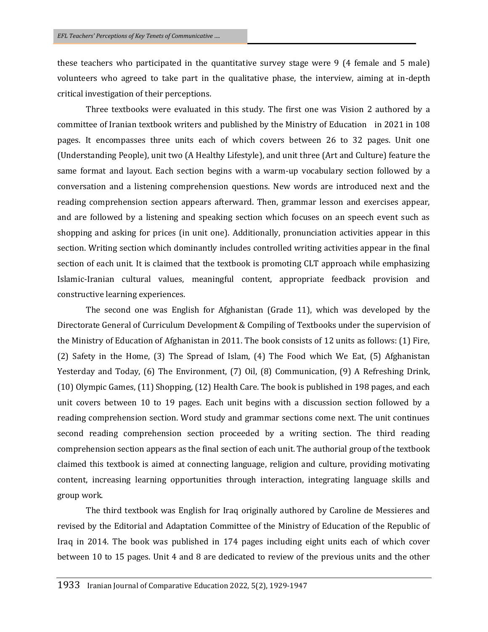these teachers who participated in the quantitative survey stage were 9 (4 female and 5 male) volunteers who agreed to take part in the qualitative phase, the interview, aiming at in-depth critical investigation of their perceptions.

Three textbooks were evaluated in this study. The first one was Vision 2 authored by a committee of Iranian textbook writers and published by the Ministry of Education in 2021 in 108 pages. It encompasses three units each of which covers between 26 to 32 pages. Unit one (Understanding People), unit two (A Healthy Lifestyle), and unit three (Art and Culture) feature the same format and layout. Each section begins with a warm-up vocabulary section followed by a conversation and a listening comprehension questions. New words are introduced next and the reading comprehension section appears afterward. Then, grammar lesson and exercises appear, and are followed by a listening and speaking section which focuses on an speech event such as shopping and asking for prices (in unit one). Additionally, pronunciation activities appear in this section. Writing section which dominantly includes controlled writing activities appear in the final section of each unit. It is claimed that the textbook is promoting CLT approach while emphasizing Islamic-Iranian cultural values, meaningful content, appropriate feedback provision and constructive learning experiences.

The second one was English for Afghanistan (Grade 11), which was developed by the Directorate General of Curriculum Development & Compiling of Textbooks under the supervision of the Ministry of Education of Afghanistan in 2011. The book consists of 12 units as follows: (1) Fire, (2) Safety in the Home, (3) The Spread of Islam, (4) The Food which We Eat, (5) Afghanistan Yesterday and Today, (6) The Environment, (7) Oil, (8) Communication, (9) A Refreshing Drink, (10) Olympic Games, (11) Shopping, (12) Health Care. The book is published in 198 pages, and each unit covers between 10 to 19 pages. Each unit begins with a discussion section followed by a reading comprehension section. Word study and grammar sections come next. The unit continues second reading comprehension section proceeded by a writing section. The third reading comprehension section appears as the final section of each unit. The authorial group of the textbook claimed this textbook is aimed at connecting language, religion and culture, providing motivating content, increasing learning opportunities through interaction, integrating language skills and group work.

The third textbook was English for Iraq originally authored by Caroline de Messieres and revised by the Editorial and Adaptation Committee of the Ministry of Education of the Republic of Iraq in 2014. The book was published in 174 pages including eight units each of which cover between 10 to 15 pages. Unit 4 and 8 are dedicated to review of the previous units and the other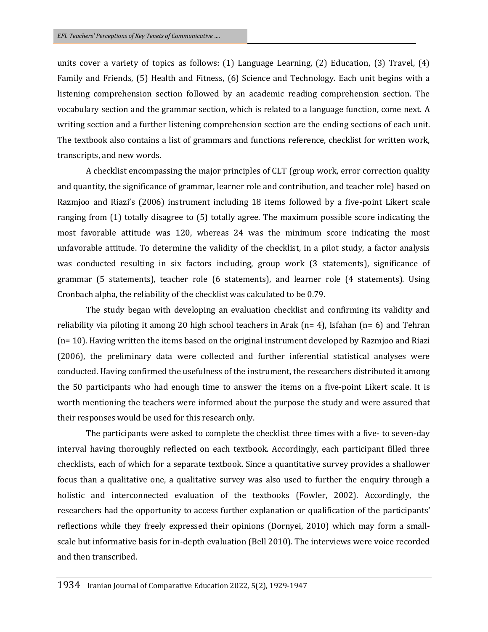units cover a variety of topics as follows: (1) Language Learning, (2) Education, (3) Travel, (4) Family and Friends, (5) Health and Fitness, (6) Science and Technology. Each unit begins with a listening comprehension section followed by an academic reading comprehension section. The vocabulary section and the grammar section, which is related to a language function, come next. A writing section and a further listening comprehension section are the ending sections of each unit. The textbook also contains a list of grammars and functions reference, checklist for written work, transcripts, and new words.

A checklist encompassing the major principles of CLT (group work, error correction quality and quantity, the significance of grammar, learner role and contribution, and teacher role) based on Razmjoo and Riazi's (2006) instrument including 18 items followed by a five-point Likert scale ranging from (1) totally disagree to (5) totally agree. The maximum possible score indicating the most favorable attitude was 120, whereas 24 was the minimum score indicating the most unfavorable attitude. To determine the validity of the checklist, in a pilot study, a factor analysis was conducted resulting in six factors including, group work (3 statements), significance of grammar (5 statements), teacher role (6 statements), and learner role (4 statements). Using Cronbach alpha, the reliability of the checklist was calculated to be 0.79.

The study began with developing an evaluation checklist and confirming its validity and reliability via piloting it among 20 high school teachers in Arak ( $n= 4$ ), Isfahan ( $n= 6$ ) and Tehran (n= 10). Having written the items based on the original instrument developed by Razmjoo and Riazi (2006), the preliminary data were collected and further inferential statistical analyses were conducted. Having confirmed the usefulness of the instrument, the researchers distributed it among the 50 participants who had enough time to answer the items on a five-point Likert scale. It is worth mentioning the teachers were informed about the purpose the study and were assured that their responses would be used for this research only.

The participants were asked to complete the checklist three times with a five- to seven-day interval having thoroughly reflected on each textbook. Accordingly, each participant filled three checklists, each of which for a separate textbook. Since a quantitative survey provides a shallower focus than a qualitative one, a qualitative survey was also used to further the enquiry through a holistic and interconnected evaluation of the textbooks (Fowler, 2002). Accordingly, the researchers had the opportunity to access further explanation or qualification of the participants' reflections while they freely expressed their opinions (Dornyei, 2010) which may form a smallscale but informative basis for in-depth evaluation (Bell 2010). The interviews were voice recorded and then transcribed.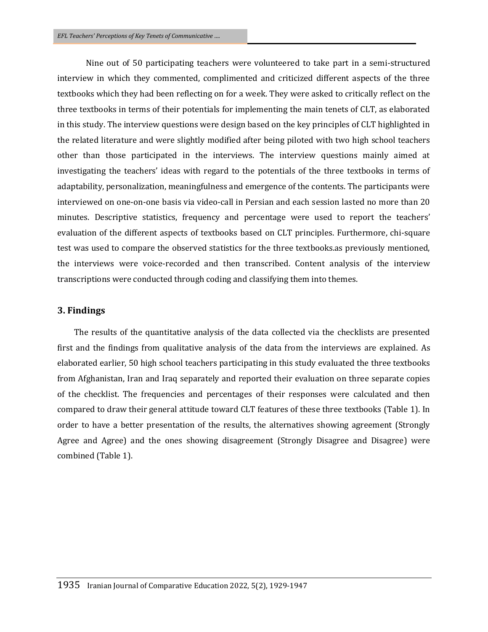Nine out of 50 participating teachers were volunteered to take part in a semi-structured interview in which they commented, complimented and criticized different aspects of the three textbooks which they had been reflecting on for a week. They were asked to critically reflect on the three textbooks in terms of their potentials for implementing the main tenets of CLT, as elaborated in this study. The interview questions were design based on the key principles of CLT highlighted in the related literature and were slightly modified after being piloted with two high school teachers other than those participated in the interviews. The interview questions mainly aimed at investigating the teachers' ideas with regard to the potentials of the three textbooks in terms of adaptability, personalization, meaningfulness and emergence of the contents. The participants were interviewed on one-on-one basis via video-call in Persian and each session lasted no more than 20 minutes. Descriptive statistics, frequency and percentage were used to report the teachers' evaluation of the different aspects of textbooks based on CLT principles. Furthermore, chi-square test was used to compare the observed statistics for the three textbooks.as previously mentioned, the interviews were voice-recorded and then transcribed. Content analysis of the interview transcriptions were conducted through coding and classifying them into themes.

#### **3. Findings**

 The results of the quantitative analysis of the data collected via the checklists are presented first and the findings from qualitative analysis of the data from the interviews are explained. As elaborated earlier, 50 high school teachers participating in this study evaluated the three textbooks from Afghanistan, Iran and Iraq separately and reported their evaluation on three separate copies of the checklist. The frequencies and percentages of their responses were calculated and then compared to draw their general attitude toward CLT features of these three textbooks (Table 1). In order to have a better presentation of the results, the alternatives showing agreement (Strongly Agree and Agree) and the ones showing disagreement (Strongly Disagree and Disagree) were combined (Table 1).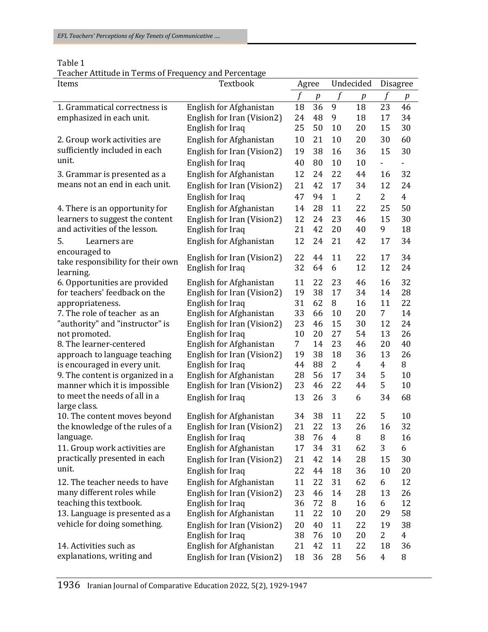| I<br>× |  |  |  |
|--------|--|--|--|
|--------|--|--|--|

Teacher Attitude in Terms of Frequency and Percentage

| Items                                         | Textbook                                       |             | Agree |                | Undecided      |                  | <b>Disagree</b> |  |
|-----------------------------------------------|------------------------------------------------|-------------|-------|----------------|----------------|------------------|-----------------|--|
|                                               |                                                | $\mathbf f$ | p     |                | $\int$<br>p    |                  | $\int$<br>p     |  |
| 1. Grammatical correctness is                 | English for Afghanistan                        | 18          | 36    | 9              | 18             | 23               | 46              |  |
| emphasized in each unit.                      | English for Iran (Vision2)                     | 24          | 48    | 9              | 18             | 17               | 34              |  |
|                                               | English for Iraq                               | 25          | 50    | 10             | 20             | 15               | 30              |  |
| 2. Group work activities are                  | English for Afghanistan                        | 10          | 21    | 10             | 20             | 30               | 60              |  |
| sufficiently included in each                 | English for Iran (Vision2)                     | 19          | 38    | 16             | 36             | 15               | 30              |  |
| unit.                                         | English for Iraq                               | 40          | 80    | 10             | 10             | $\blacksquare$   | $\blacksquare$  |  |
| 3. Grammar is presented as a                  | English for Afghanistan                        | 12          | 24    | 22             | 44             | 16               | 32              |  |
| means not an end in each unit.                | English for Iran (Vision2)                     | 21          | 42    | 17             | 34             | 12               | 24              |  |
|                                               | English for Iraq                               | 47          | 94    | $\mathbf{1}$   | $\overline{2}$ | $\overline{2}$   | $\overline{4}$  |  |
| 4. There is an opportunity for                | English for Afghanistan                        | 14          | 28    | 11             | 22             | 25               | 50              |  |
| learners to suggest the content               | English for Iran (Vision2)                     | 12          | 24    | 23             | 46             | 15               | 30              |  |
| and activities of the lesson.                 | English for Iraq                               | 21          | 42    | 20             | 40             | 9                | 18              |  |
| 5.<br>Learners are                            | English for Afghanistan                        | 12          | 24    | 21             | 42             | 17               | 34              |  |
| encouraged to                                 |                                                | 22          | 44    | 11             | 22             | 17               | 34              |  |
| take responsibility for their own             | English for Iran (Vision2)<br>English for Iraq | 32          | 64    | 6              | 12             | 12               | 24              |  |
| learning.                                     |                                                |             |       |                |                |                  |                 |  |
| 6. Opportunities are provided                 | English for Afghanistan                        | 11          | 22    | 23             | 46             | 16               | 32              |  |
| for teachers' feedback on the                 | English for Iran (Vision2)                     | 19          | 38    | 17             | 34             | 14               | 28              |  |
| appropriateness.                              | English for Iraq                               | 31          | 62    | 8              | 16             | 11               | 22              |  |
| 7. The role of teacher as an                  | English for Afghanistan                        | 33          | 66    | 10             | 20             | 7 <sup>1</sup>   | 14              |  |
| "authority" and "instructor" is               | English for Iran (Vision2)                     | 23          | 46    | 15             | 30             | 12               | 24              |  |
| not promoted.                                 | English for Iraq                               | 10          | 20    | 27             | 54             | 13               | 26              |  |
| 8. The learner-centered                       | English for Afghanistan                        | 7           | 14    | 23             | 46             | 20               | 40              |  |
| approach to language teaching                 | English for Iran (Vision2)                     | 19          | 38    | 18             | 36             | 13               | 26              |  |
| is encouraged in every unit.                  | English for Iraq                               | 44          | 88    | $\overline{2}$ | $\overline{4}$ | $\boldsymbol{4}$ | 8               |  |
| 9. The content is organized in a              | English for Afghanistan                        | 28          | 56    | 17             | 34             | 5<br>5           | 10              |  |
| manner which it is impossible                 | English for Iran (Vision2)                     | 23<br>13    | 46    | 22             | 44             |                  | 10              |  |
| to meet the needs of all in a<br>large class. | English for Iraq                               |             | 26    | 3              | 6              | 34               | 68              |  |
| 10. The content moves beyond                  | English for Afghanistan                        | 34          | 38    | 11             | 22             | 5                | 10              |  |
| the knowledge of the rules of a               | English for Iran (Vision2)                     | 21          | 22    | 13             | 26             | 16               | 32              |  |
| language.                                     | English for Iraq                               | 38          | 76    | $\overline{4}$ | $\, 8$         | $\, 8$           | 16              |  |
| 11. Group work activities are                 | English for Afghanistan                        | 17          | 34    | 31             | 62             | 3                | 6               |  |
| practically presented in each                 | English for Iran (Vision2)                     | 21          | 42    | 14             | 28             | 15               | 30              |  |
| unit.                                         | English for Iraq                               | 22          | 44    | 18             | 36             | 10               | 20              |  |
| 12. The teacher needs to have                 | English for Afghanistan                        | 11          | 22    | 31             | 62             | 6                | 12              |  |
| many different roles while                    | English for Iran (Vision2)                     | 23          | 46    | 14             | 28             | 13               | 26              |  |
| teaching this textbook.                       | English for Iraq                               | 36          | 72    | $\, 8$         | 16             | 6                | 12              |  |
| 13. Language is presented as a                | English for Afghanistan                        | 11          | 22    | 10             | 20             | 29               | 58              |  |
| vehicle for doing something.                  | English for Iran (Vision2)                     | 20          | 40    | 11             | 22             | 19               | 38              |  |
|                                               | English for Iraq                               | 38          | 76    | 10             | 20             | $\overline{2}$   | $\overline{4}$  |  |
| 14. Activities such as                        | English for Afghanistan                        | 21          | 42    | 11             | 22             | 18               | 36              |  |
| explanations, writing and                     | English for Iran (Vision2)                     | 18          | 36    | 28             | 56             | $\overline{4}$   | 8               |  |
|                                               |                                                |             |       |                |                |                  |                 |  |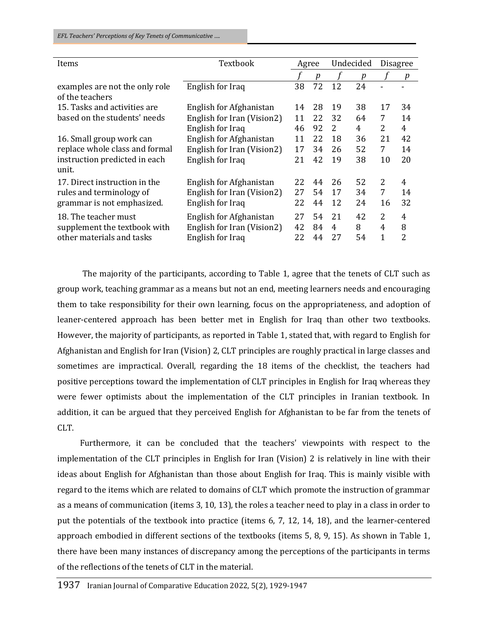| Items                                                                             | Textbook                                                                  |                | Agree            |               | Undecided        |                                     | <b>Disagree</b> |  |
|-----------------------------------------------------------------------------------|---------------------------------------------------------------------------|----------------|------------------|---------------|------------------|-------------------------------------|-----------------|--|
|                                                                                   |                                                                           |                | $\boldsymbol{p}$ |               | $\boldsymbol{p}$ |                                     | p               |  |
| examples are not the only role<br>of the teachers                                 | English for Iraq                                                          | 38             | 72               | 12            | 24               |                                     |                 |  |
| 15. Tasks and activities are                                                      | English for Afghanistan                                                   | 14             | 28               | 19            | 38               | 17                                  | 34              |  |
| based on the students' needs                                                      | English for Iran (Vision2)                                                | 11             | 22               | 32            | 64               | 7                                   | 14              |  |
|                                                                                   | English for Iraq                                                          | 46             | 92               | 2             | 4                | 2                                   | 4               |  |
| 16. Small group work can                                                          | English for Afghanistan                                                   | 11             | 22               | 18            | 36               | 21                                  | 42              |  |
| replace whole class and formal                                                    | English for Iran (Vision2)                                                | 17             | 34               | 26            | 52               | 7                                   | 14              |  |
| instruction predicted in each<br>unit.                                            | English for Iraq                                                          | 21             | 42               | 19            | 38               | 10                                  | 20              |  |
| 17. Direct instruction in the                                                     | English for Afghanistan                                                   | 22             | 44               | 26            | 52               | $\overline{2}$                      | 4               |  |
| rules and terminology of                                                          | English for Iran (Vision2)                                                | 27             | 54               | 17            | 34               | 7                                   | 14              |  |
| grammar is not emphasized.                                                        | English for Iraq                                                          | 22             | 44               | 12            | 24               | 16                                  | 32              |  |
| 18. The teacher must<br>supplement the textbook with<br>other materials and tasks | English for Afghanistan<br>English for Iran (Vision2)<br>English for Iraq | 27<br>42<br>22 | 54<br>84<br>44   | 21<br>4<br>27 | 42<br>8<br>54    | $\overline{2}$<br>4<br>$\mathbf{1}$ | 4<br>8<br>2     |  |

The majority of the participants, according to Table 1, agree that the tenets of CLT such as group work, teaching grammar as a means but not an end, meeting learners needs and encouraging them to take responsibility for their own learning, focus on the appropriateness, and adoption of leaner-centered approach has been better met in English for Iraq than other two textbooks. However, the majority of participants, as reported in Table 1, stated that, with regard to English for Afghanistan and English for Iran (Vision) 2, CLT principles are roughly practical in large classes and sometimes are impractical. Overall, regarding the 18 items of the checklist, the teachers had positive perceptions toward the implementation of CLT principles in English for Iraq whereas they were fewer optimists about the implementation of the CLT principles in Iranian textbook. In addition, it can be argued that they perceived English for Afghanistan to be far from the tenets of CLT.

Furthermore, it can be concluded that the teachers' viewpoints with respect to the implementation of the CLT principles in English for Iran (Vision) 2 is relatively in line with their ideas about English for Afghanistan than those about English for Iraq. This is mainly visible with regard to the items which are related to domains of CLT which promote the instruction of grammar as a means of communication (items 3, 10, 13), the roles a teacher need to play in a class in order to put the potentials of the textbook into practice (items 6, 7, 12, 14, 18), and the learner-centered approach embodied in different sections of the textbooks (items 5, 8, 9, 15). As shown in Table 1, there have been many instances of discrepancy among the perceptions of the participants in terms of the reflections of the tenets of CLT in the material.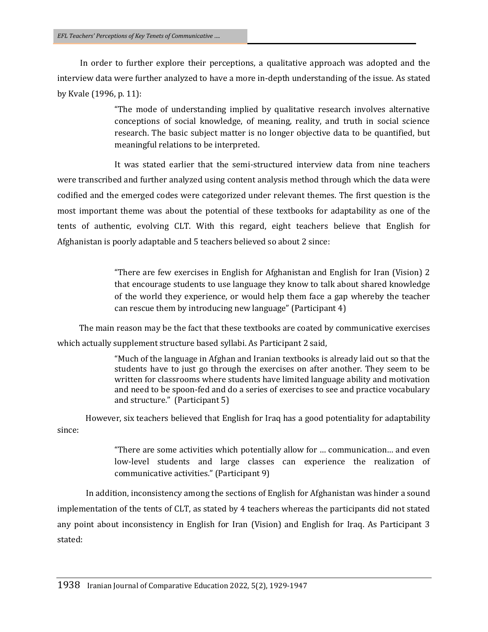In order to further explore their perceptions, a qualitative approach was adopted and the interview data were further analyzed to have a more in-depth understanding of the issue. As stated by Kvale (1996, p. 11):

> "The mode of understanding implied by qualitative research involves alternative conceptions of social knowledge, of meaning, reality, and truth in social science research. The basic subject matter is no longer objective data to be quantified, but meaningful relations to be interpreted.

It was stated earlier that the semi-structured interview data from nine teachers were transcribed and further analyzed using content analysis method through which the data were codified and the emerged codes were categorized under relevant themes. The first question is the most important theme was about the potential of these textbooks for adaptability as one of the tents of authentic, evolving CLT. With this regard, eight teachers believe that English for Afghanistan is poorly adaptable and 5 teachers believed so about 2 since:

> "There are few exercises in English for Afghanistan and English for Iran (Vision) 2 that encourage students to use language they know to talk about shared knowledge of the world they experience, or would help them face a gap whereby the teacher can rescue them by introducing new language" (Participant 4)

The main reason may be the fact that these textbooks are coated by communicative exercises which actually supplement structure based syllabi. As Participant 2 said,

> "Much of the language in Afghan and Iranian textbooks is already laid out so that the students have to just go through the exercises on after another. They seem to be written for classrooms where students have limited language ability and motivation and need to be spoon-fed and do a series of exercises to see and practice vocabulary and structure." (Participant 5)

However, six teachers believed that English for Iraq has a good potentiality for adaptability since:

> "There are some activities which potentially allow for … communication… and even low-level students and large classes can experience the realization of communicative activities." (Participant 9)

In addition, inconsistency among the sections of English for Afghanistan was hinder a sound implementation of the tents of CLT, as stated by 4 teachers whereas the participants did not stated any point about inconsistency in English for Iran (Vision) and English for Iraq. As Participant 3 stated: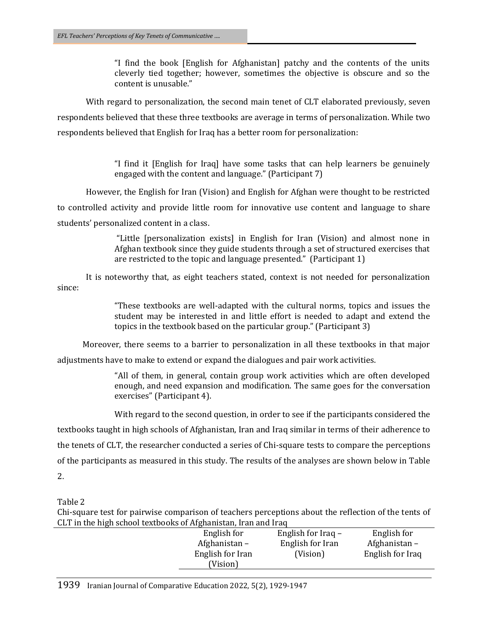"I find the book [English for Afghanistan] patchy and the contents of the units cleverly tied together; however, sometimes the objective is obscure and so the content is unusable."

With regard to personalization, the second main tenet of CLT elaborated previously, seven respondents believed that these three textbooks are average in terms of personalization. While two respondents believed that English for Iraq has a better room for personalization:

> "I find it [English for Iraq] have some tasks that can help learners be genuinely engaged with the content and language." (Participant 7)

However, the English for Iran (Vision) and English for Afghan were thought to be restricted

to controlled activity and provide little room for innovative use content and language to share students' personalized content in a class.

> "Little [personalization exists] in English for Iran (Vision) and almost none in Afghan textbook since they guide students through a set of structured exercises that are restricted to the topic and language presented." (Participant 1)

It is noteworthy that, as eight teachers stated, context is not needed for personalization since:

> "These textbooks are well-adapted with the cultural norms, topics and issues the student may be interested in and little effort is needed to adapt and extend the topics in the textbook based on the particular group." (Participant 3)

Moreover, there seems to a barrier to personalization in all these textbooks in that major adjustments have to make to extend or expand the dialogues and pair work activities.

> "All of them, in general, contain group work activities which are often developed enough, and need expansion and modification. The same goes for the conversation exercises" (Participant 4).

> With regard to the second question, in order to see if the participants considered the

textbooks taught in high schools of Afghanistan, Iran and Iraq similar in terms of their adherence to

the tenets of CLT, the researcher conducted a series of Chi-square tests to compare the perceptions

of the participants as measured in this study. The results of the analyses are shown below in Table 2.

Table 2

Chi-square test for pairwise comparison of teachers perceptions about the reflection of the tents of CLT in the high school textbooks of Afghanistan, Iran and Iraq

| opt in the high behoof tentboons of flighting this fruit and had |                  |                      |                  |
|------------------------------------------------------------------|------------------|----------------------|------------------|
|                                                                  | English for      | English for Iraq $-$ | English for      |
|                                                                  | Afghanistan –    | English for Iran     | Afghanistan –    |
|                                                                  | English for Iran | (Vision)             | English for Iraq |
|                                                                  | (Vision)         |                      |                  |
|                                                                  |                  |                      |                  |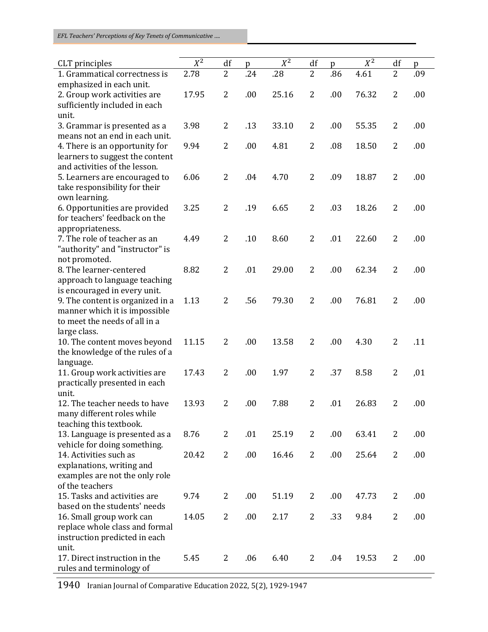*EFL Teachers' Perceptions of Key Tenets of Communicative ….*

| CLT principles                           | $X^2$ | df             | p   | $X^2$ | df             | p   | $X^2$ | df             | p   |
|------------------------------------------|-------|----------------|-----|-------|----------------|-----|-------|----------------|-----|
| 1. Grammatical correctness is            | 2.78  | $\overline{2}$ | .24 | .28   | $\overline{2}$ | .86 | 4.61  | $\overline{2}$ | .09 |
| emphasized in each unit.                 |       |                |     |       |                |     |       |                |     |
| 2. Group work activities are             | 17.95 | $\overline{2}$ | .00 | 25.16 | 2              | .00 | 76.32 | $\overline{2}$ | .00 |
| sufficiently included in each            |       |                |     |       |                |     |       |                |     |
| unit.                                    |       |                |     |       |                |     |       |                |     |
| 3. Grammar is presented as a             | 3.98  | $\overline{2}$ | .13 | 33.10 | $\overline{2}$ | .00 | 55.35 | $\overline{2}$ | .00 |
| means not an end in each unit.           |       |                |     |       |                |     |       |                |     |
| 4. There is an opportunity for           | 9.94  | 2              | .00 | 4.81  | $\overline{2}$ | .08 | 18.50 | 2              | .00 |
| learners to suggest the content          |       |                |     |       |                |     |       |                |     |
| and activities of the lesson.            |       |                |     |       |                |     |       |                |     |
| 5. Learners are encouraged to            | 6.06  | $\overline{2}$ | .04 | 4.70  | $\overline{2}$ | .09 | 18.87 | $\overline{2}$ | .00 |
| take responsibility for their            |       |                |     |       |                |     |       |                |     |
| own learning.                            |       |                |     |       |                |     |       |                |     |
| 6. Opportunities are provided            | 3.25  | 2              | .19 | 6.65  | $\overline{2}$ | .03 | 18.26 | $\overline{2}$ | .00 |
| for teachers' feedback on the            |       |                |     |       |                |     |       |                |     |
| appropriateness.                         |       |                |     |       |                |     |       |                |     |
| 7. The role of teacher as an             | 4.49  | $\overline{2}$ | .10 | 8.60  | $\overline{2}$ | .01 | 22.60 | $\overline{2}$ | .00 |
| "authority" and "instructor" is          |       |                |     |       |                |     |       |                |     |
| not promoted.<br>8. The learner-centered | 8.82  | $\overline{2}$ | .01 | 29.00 | $\overline{2}$ | .00 | 62.34 | $\overline{2}$ |     |
| approach to language teaching            |       |                |     |       |                |     |       |                | .00 |
| is encouraged in every unit.             |       |                |     |       |                |     |       |                |     |
| 9. The content is organized in a         | 1.13  | $\overline{2}$ | .56 | 79.30 | $\overline{2}$ | .00 | 76.81 | $\overline{2}$ | .00 |
| manner which it is impossible            |       |                |     |       |                |     |       |                |     |
| to meet the needs of all in a            |       |                |     |       |                |     |       |                |     |
| large class.                             |       |                |     |       |                |     |       |                |     |
| 10. The content moves beyond             | 11.15 | 2              | .00 | 13.58 | $\overline{2}$ | .00 | 4.30  | $\overline{2}$ | .11 |
| the knowledge of the rules of a          |       |                |     |       |                |     |       |                |     |
| language.                                |       |                |     |       |                |     |       |                |     |
| 11. Group work activities are            | 17.43 | $\overline{2}$ | .00 | 1.97  | $\overline{2}$ | .37 | 8.58  | $\overline{2}$ | ,01 |
| practically presented in each            |       |                |     |       |                |     |       |                |     |
| unit.                                    |       |                |     |       |                |     |       |                |     |
| 12. The teacher needs to have            | 13.93 | 2              | .00 | 7.88  | $\overline{2}$ | .01 | 26.83 | $\overline{2}$ | .00 |
| many different roles while               |       |                |     |       |                |     |       |                |     |
| teaching this textbook.                  |       |                |     |       |                |     |       |                |     |
| 13. Language is presented as a           | 8.76  | 2              | .01 | 25.19 | 2              | .00 | 63.41 | $\overline{2}$ | .00 |
| vehicle for doing something.             |       |                |     |       |                |     |       |                |     |
| 14. Activities such as                   | 20.42 | 2              | .00 | 16.46 | $\overline{2}$ | .00 | 25.64 | $\overline{2}$ | .00 |
| explanations, writing and                |       |                |     |       |                |     |       |                |     |
| examples are not the only role           |       |                |     |       |                |     |       |                |     |
| of the teachers                          |       |                |     |       |                |     |       |                |     |
| 15. Tasks and activities are             | 9.74  | $\overline{2}$ | .00 | 51.19 | 2              | .00 | 47.73 | $\overline{2}$ | .00 |
| based on the students' needs             |       |                |     |       |                |     |       |                |     |
| 16. Small group work can                 | 14.05 | 2              | .00 | 2.17  | 2              | .33 | 9.84  | 2              | .00 |
| replace whole class and formal           |       |                |     |       |                |     |       |                |     |
| instruction predicted in each            |       |                |     |       |                |     |       |                |     |
| unit.                                    |       |                |     |       |                |     |       |                |     |
| 17. Direct instruction in the            | 5.45  | $\overline{2}$ | .06 | 6.40  | 2              | .04 | 19.53 | $\overline{2}$ | .00 |
| rules and terminology of                 |       |                |     |       |                |     |       |                |     |

1940 Iranian Journal of Comparative Education 2022, 5(2), 1929-1947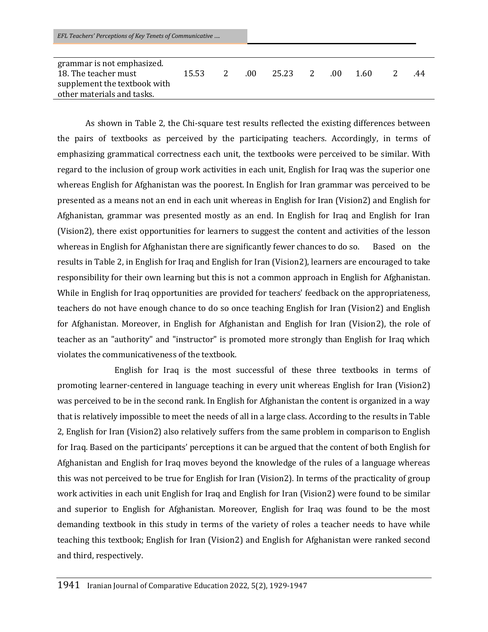| grammar is not emphasized.   |       |               |      |       |   |      |      |     |
|------------------------------|-------|---------------|------|-------|---|------|------|-----|
| 18. The teacher must         | 15.53 | $\mathcal{P}$ | -00- | 25.23 | 2 | -.00 | 1.60 | .44 |
| supplement the textbook with |       |               |      |       |   |      |      |     |
| other materials and tasks.   |       |               |      |       |   |      |      |     |

As shown in Table 2, the Chi-square test results reflected the existing differences between the pairs of textbooks as perceived by the participating teachers. Accordingly, in terms of emphasizing grammatical correctness each unit, the textbooks were perceived to be similar. With regard to the inclusion of group work activities in each unit, English for Iraq was the superior one whereas English for Afghanistan was the poorest. In English for Iran grammar was perceived to be presented as a means not an end in each unit whereas in English for Iran (Vision2) and English for Afghanistan, grammar was presented mostly as an end. In English for Iraq and English for Iran (Vision2), there exist opportunities for learners to suggest the content and activities of the lesson whereas in English for Afghanistan there are significantly fewer chances to do so. Based on the results in Table 2, in English for Iraq and English for Iran (Vision2), learners are encouraged to take responsibility for their own learning but this is not a common approach in English for Afghanistan. While in English for Iraq opportunities are provided for teachers' feedback on the appropriateness, teachers do not have enough chance to do so once teaching English for Iran (Vision2) and English for Afghanistan. Moreover, in English for Afghanistan and English for Iran (Vision2), the role of teacher as an "authority" and "instructor" is promoted more strongly than English for Iraq which violates the communicativeness of the textbook.

English for Iraq is the most successful of these three textbooks in terms of promoting learner-centered in language teaching in every unit whereas English for Iran (Vision2) was perceived to be in the second rank. In English for Afghanistan the content is organized in a way that is relatively impossible to meet the needs of all in a large class. According to the results in Table 2, English for Iran (Vision2) also relatively suffers from the same problem in comparison to English for Iraq. Based on the participants' perceptions it can be argued that the content of both English for Afghanistan and English for Iraq moves beyond the knowledge of the rules of a language whereas this was not perceived to be true for English for Iran (Vision2). In terms of the practicality of group work activities in each unit English for Iraq and English for Iran (Vision2) were found to be similar and superior to English for Afghanistan. Moreover, English for Iraq was found to be the most demanding textbook in this study in terms of the variety of roles a teacher needs to have while teaching this textbook; English for Iran (Vision2) and English for Afghanistan were ranked second and third, respectively.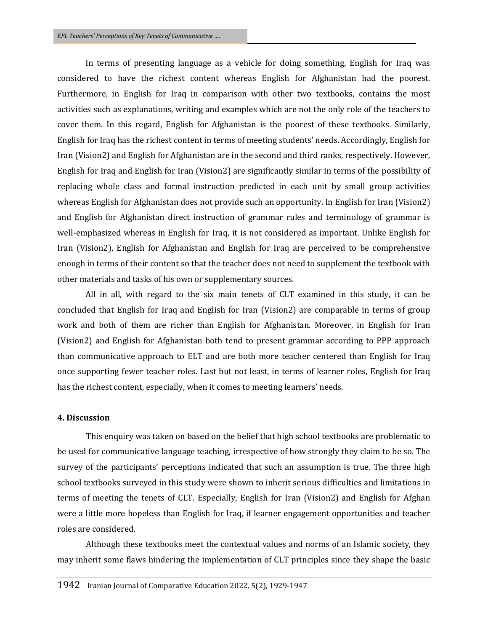In terms of presenting language as a vehicle for doing something, English for Iraq was considered to have the richest content whereas English for Afghanistan had the poorest. Furthermore, in English for Iraq in comparison with other two textbooks, contains the most activities such as explanations, writing and examples which are not the only role of the teachers to cover them. In this regard, English for Afghanistan is the poorest of these textbooks. Similarly, English for Iraq has the richest content in terms of meeting students' needs. Accordingly, English for Iran (Vision2) and English for Afghanistan are in the second and third ranks, respectively. However, English for Iraq and English for Iran (Vision2) are significantly similar in terms of the possibility of replacing whole class and formal instruction predicted in each unit by small group activities whereas English for Afghanistan does not provide such an opportunity. In English for Iran (Vision2) and English for Afghanistan direct instruction of grammar rules and terminology of grammar is well-emphasized whereas in English for Iraq, it is not considered as important. Unlike English for Iran (Vision2), English for Afghanistan and English for Iraq are perceived to be comprehensive enough in terms of their content so that the teacher does not need to supplement the textbook with other materials and tasks of his own or supplementary sources.

All in all, with regard to the six main tenets of CLT examined in this study, it can be concluded that English for Iraq and English for Iran (Vision2) are comparable in terms of group work and both of them are richer than English for Afghanistan. Moreover, in English for Iran (Vision2) and English for Afghanistan both tend to present grammar according to PPP approach than communicative approach to ELT and are both more teacher centered than English for Iraq once supporting fewer teacher roles. Last but not least, in terms of learner roles, English for Iraq has the richest content, especially, when it comes to meeting learners' needs.

## **4. Discussion**

This enquiry was taken on based on the belief that high school textbooks are problematic to be used for communicative language teaching, irrespective of how strongly they claim to be so. The survey of the participants' perceptions indicated that such an assumption is true. The three high school textbooks surveyed in this study were shown to inherit serious difficulties and limitations in terms of meeting the tenets of CLT. Especially, English for Iran (Vision2) and English for Afghan were a little more hopeless than English for Iraq, if learner engagement opportunities and teacher roles are considered.

Although these textbooks meet the contextual values and norms of an Islamic society, they may inherit some flaws hindering the implementation of CLT principles since they shape the basic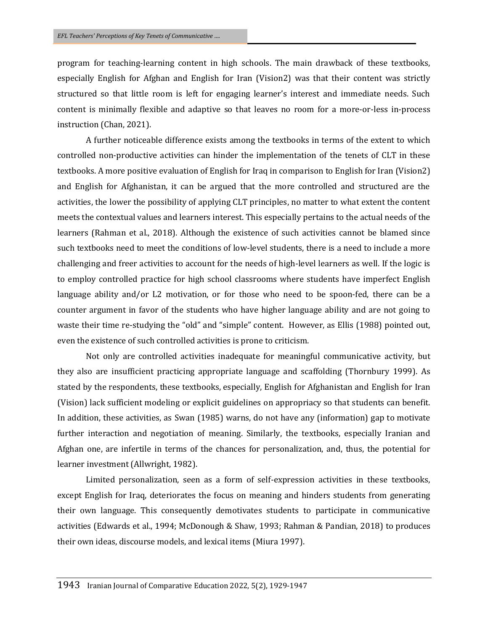program for teaching-learning content in high schools. The main drawback of these textbooks, especially English for Afghan and English for Iran (Vision2) was that their content was strictly structured so that little room is left for engaging learner's interest and immediate needs. Such content is minimally flexible and adaptive so that leaves no room for a more-or-less in-process instruction (Chan, 2021).

A further noticeable difference exists among the textbooks in terms of the extent to which controlled non-productive activities can hinder the implementation of the tenets of CLT in these textbooks. A more positive evaluation of English for Iraq in comparison to English for Iran (Vision2) and English for Afghanistan, it can be argued that the more controlled and structured are the activities, the lower the possibility of applying CLT principles, no matter to what extent the content meets the contextual values and learners interest. This especially pertains to the actual needs of the learners (Rahman et al., 2018). Although the existence of such activities cannot be blamed since such textbooks need to meet the conditions of low-level students, there is a need to include a more challenging and freer activities to account for the needs of high-level learners as well. If the logic is to employ controlled practice for high school classrooms where students have imperfect English language ability and/or L2 motivation, or for those who need to be spoon-fed, there can be a counter argument in favor of the students who have higher language ability and are not going to waste their time re-studying the "old" and "simple" content. However, as Ellis (1988) pointed out, even the existence of such controlled activities is prone to criticism.

Not only are controlled activities inadequate for meaningful communicative activity, but they also are insufficient practicing appropriate language and scaffolding (Thornbury 1999). As stated by the respondents, these textbooks, especially, English for Afghanistan and English for Iran (Vision) lack sufficient modeling or explicit guidelines on appropriacy so that students can benefit. In addition, these activities, as Swan (1985) warns, do not have any (information) gap to motivate further interaction and negotiation of meaning. Similarly, the textbooks, especially Iranian and Afghan one, are infertile in terms of the chances for personalization, and, thus, the potential for learner investment (Allwright, 1982).

Limited personalization, seen as a form of self-expression activities in these textbooks, except English for Iraq, deteriorates the focus on meaning and hinders students from generating their own language. This consequently demotivates students to participate in communicative activities (Edwards et al., 1994; McDonough & Shaw, 1993; Rahman & Pandian, 2018) to produces their own ideas, discourse models, and lexical items (Miura 1997).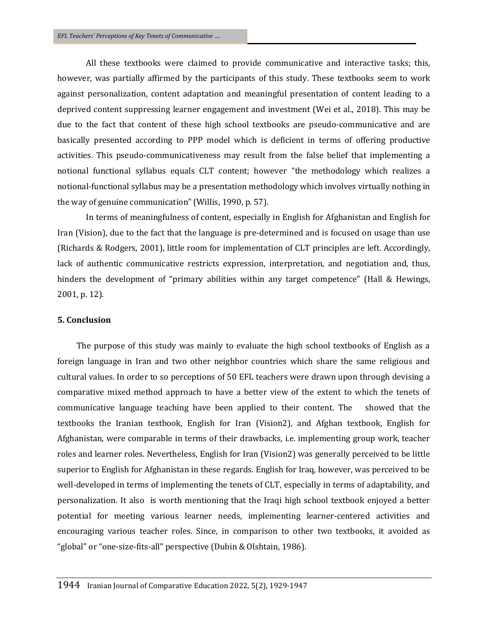All these textbooks were claimed to provide communicative and interactive tasks; this, however, was partially affirmed by the participants of this study. These textbooks seem to work against personalization, content adaptation and meaningful presentation of content leading to a deprived content suppressing learner engagement and investment (Wei et al., 2018). This may be due to the fact that content of these high school textbooks are pseudo-communicative and are basically presented according to PPP model which is deficient in terms of offering productive activities. This pseudo-communicativeness may result from the false belief that implementing a notional functional syllabus equals CLT content; however "the methodology which realizes a notional-functional syllabus may be a presentation methodology which involves virtually nothing in the way of genuine communication" (Willis, 1990, p. 57).

In terms of meaningfulness of content, especially in English for Afghanistan and English for Iran (Vision), due to the fact that the language is pre-determined and is focused on usage than use (Richards & Rodgers, 2001), little room for implementation of CLT principles are left. Accordingly, lack of authentic communicative restricts expression, interpretation, and negotiation and, thus, hinders the development of "primary abilities within any target competence" (Hall & Hewings, 2001, p. 12).

#### **5. Conclusion**

 The purpose of this study was mainly to evaluate the high school textbooks of English as a foreign language in Iran and two other neighbor countries which share the same religious and cultural values. In order to so perceptions of 50 EFL teachers were drawn upon through devising a comparative mixed method approach to have a better view of the extent to which the tenets of communicative language teaching have been applied to their content. The showed that the textbooks the Iranian textbook, English for Iran (Vision2), and Afghan textbook, English for Afghanistan, were comparable in terms of their drawbacks, i.e. implementing group work, teacher roles and learner roles. Nevertheless, English for Iran (Vision2) was generally perceived to be little superior to English for Afghanistan in these regards. English for Iraq, however, was perceived to be well-developed in terms of implementing the tenets of CLT, especially in terms of adaptability, and personalization. It also is worth mentioning that the Iraqi high school textbook enjoyed a better potential for meeting various learner needs, implementing learner-centered activities and encouraging various teacher roles. Since, in comparison to other two textbooks, it avoided as "global" or "one-size-fits-all" perspective (Dubin & Olshtain, 1986).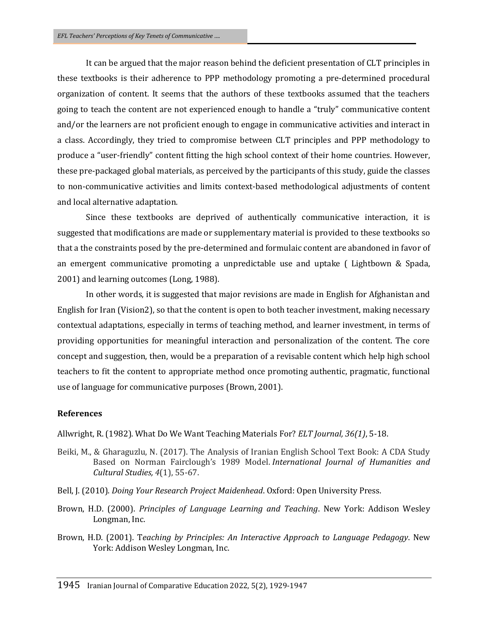It can be argued that the major reason behind the deficient presentation of CLT principles in these textbooks is their adherence to PPP methodology promoting a pre-determined procedural organization of content. It seems that the authors of these textbooks assumed that the teachers going to teach the content are not experienced enough to handle a "truly" communicative content and/or the learners are not proficient enough to engage in communicative activities and interact in a class. Accordingly, they tried to compromise between CLT principles and PPP methodology to produce a "user-friendly" content fitting the high school context of their home countries. However, these pre-packaged global materials, as perceived by the participants of this study, guide the classes to non-communicative activities and limits context-based methodological adjustments of content and local alternative adaptation.

Since these textbooks are deprived of authentically communicative interaction, it is suggested that modifications are made or supplementary material is provided to these textbooks so that a the constraints posed by the pre-determined and formulaic content are abandoned in favor of an emergent communicative promoting a unpredictable use and uptake ( Lightbown & Spada, 2001) and learning outcomes (Long, 1988).

In other words, it is suggested that major revisions are made in English for Afghanistan and English for Iran (Vision2), so that the content is open to both teacher investment, making necessary contextual adaptations, especially in terms of teaching method, and learner investment, in terms of providing opportunities for meaningful interaction and personalization of the content. The core concept and suggestion, then, would be a preparation of a revisable content which help high school teachers to fit the content to appropriate method once promoting authentic, pragmatic, functional use of language for communicative purposes (Brown, 2001).

### **References**

Allwright, R. (1982). What Do We Want Teaching Materials For? *ELT Journal, 36(1)*, 5-18.

- Beiki, M., & Gharaguzlu, N. (2017). The Analysis of Iranian English School Text Book: A CDA Study Based on Norman Fairclough's 1989 Model. *International Journal of Humanities and Cultural Studies, 4*(1), 55-67.
- Bell, J. (2010). *Doing Your Research Project Maidenhead*. Oxford: Open University Press.
- Brown, H.D. (2000). *Principles of Language Learning and Teaching*. New York: Addison Wesley Longman, Inc.
- Brown, H.D. (2001). T*eaching by Principles: An Interactive Approach to Language Pedagogy*. New York: Addison Wesley Longman, Inc.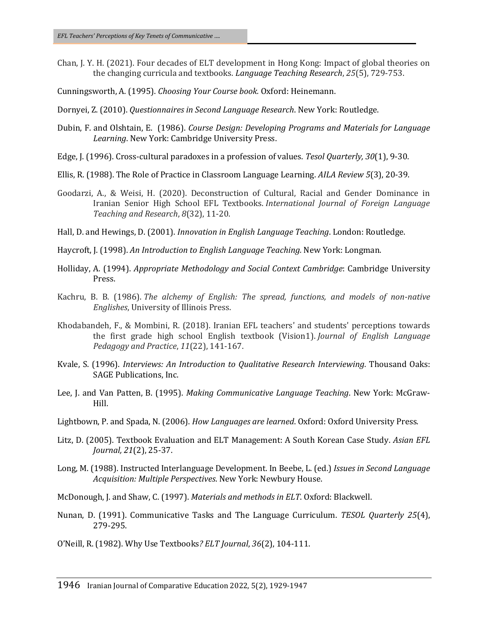- Chan, J. Y. H. (2021). Four decades of ELT development in Hong Kong: Impact of global theories on the changing curricula and textbooks. *Language Teaching Research*, *25*(5), 729-753.
- Cunningsworth, A. (1995). *Choosing Your Course book.* Oxford: Heinemann.
- Dornyei, Z. (2010). *Questionnaires in Second Language Research*. New York: Routledge.
- Dubin, F. and Olshtain, E. (1986). *Course Design: Developing Programs and Materials for Language Learning*. New York: Cambridge University Press.
- Edge, J. (1996). Cross‐cultural paradoxes in a profession of values. *Tesol Quarterly, 30*(1), 9-30.
- Ellis, R. (1988). The Role of Practice in Classroom Language Learning. *AILA Review 5*(3), 20-39.
- Goodarzi, A., & Weisi, H. (2020). Deconstruction of Cultural, Racial and Gender Dominance in Iranian Senior High School EFL Textbooks. *International Journal of Foreign Language Teaching and Research*, *8*(32), 11-20.
- Hall, D. and Hewings, D. (2001). *Innovation in English Language Teaching*. London: Routledge.
- Haycroft, J. (1998). *An Introduction to English Language Teaching.* New York: Longman.
- Holliday, A. (1994). *Appropriate Methodology and Social Context Cambridge*: Cambridge University Press.
- Kachru, B. B. (1986). *The alchemy of English: The spread, functions, and models of non-native Englishes*, University of Illinois Press.
- Khodabandeh, F., & Mombini, R. (2018). Iranian EFL teachers' and students' perceptions towards the first grade high school English textbook (Vision1). *Journal of English Language Pedagogy and Practice*, *11*(22), 141-167.
- Kvale, S. (1996). *Interviews: An Introduction to Qualitative Research Interviewing.* Thousand Oaks: SAGE Publications, Inc.
- Lee, J. and Van Patten, B. (1995). *Making Communicative Language Teaching*. New York: McGraw-Hill.
- Lightbown, P. and Spada, N. (2006). *How Languages are learned*. Oxford: Oxford University Press.
- Litz, D. (2005). Textbook Evaluation and ELT Management: A South Korean Case Study. *Asian EFL Journal, 21*(2), 25-37.
- Long, M. (1988). Instructed Interlanguage Development. In Beebe, L. (ed.) *Issues in Second Language Acquisition: Multiple Perspectives*. New York: Newbury House.
- McDonough, J. and Shaw, C. (1997). *Materials and methods in ELT*. Oxford: Blackwell.
- Nunan, D. (1991). Communicative Tasks and The Language Curriculum. *TESOL Quarterly 25*(4), 279-295.
- O'Neill, R. (1982). Why Use Textbooks*? ELT Journal*, *36*(2), 104-111.